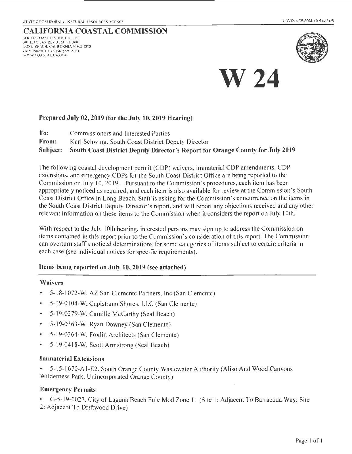#### CALIFORNIA COASTAL COMMISSION 301 E. OCEAN BLVD. SUITE 300 LONG BEACH, CALIFORNIA 90802-4830 (562) 590-5071 FAX (562) 590-5084 WWW.COASTAL.CA.GOV



**W24** 

### Prepared July 02,2019 (for the July 10,2019 Hearing)

To: Commissioners and Interested Parties

From: Karl Schwing, South Coast District Deputy Director

Subject: South Coast District Deputy Director's Report for Orange County for July 2019

The following coastal development permit (CDP) waivers, immaterial CDP amendments, CDP extensions, and emergency COPs for the South Coast District Office are being reported to the Commission on July 10, 2019. Pursuant to the Commission's procedures, each item has been appropriately noticed as required, and each item is also available for review at the Commission's South Coast District Office in Long Beach. Staff is asking for the Commission's concurrence on the items in the South Coast District Deputy Director's report, and will report any objections received and any other relevant information on these items to the Commission when it considers the report on July I Oth.

With respect to the July 10th hearing, interested persons may sign up to address the Commission on items contained in this report prior to the Commission's consideration of this report. The Commission can overturn staff's noticed determinations for some categories of items subject to certain criteria in each case (see individual notices for specific requirements).

#### Items being reported on July 10, 2019 (see attached)

#### Waivers

- 5-18-1072-W, AZ San Clemente Partners, Inc (San Clemente)
- 5- 19-0104-W, Capistrano Shores, LLC (San Clemente)
- $\bullet$ 5- 19-0279-W. Camille McCarthy (Seal Beach)
- 5-19-0363-W, Ryan Downey (San Clemente)
- 5-1 9-0364-W, Foxlin Architects (San Clemente)
- 5-19-0418-W, Scott Armstrong (Seal Beach)

#### Immaterial Extensions

• 5- 15-1 670-A 1-E2, South Orange County Wastewater Authority (Aliso And Wood Canyons Wilderness Park, Unincorporated Orange County)

#### Emergency Permits

• G-5-1 9-0027, City of Laguna Beach Fule Mod Zone II (Site 1: Adjacent To Barracuda Way; Site

2: Adjacent To Driftwood Drive)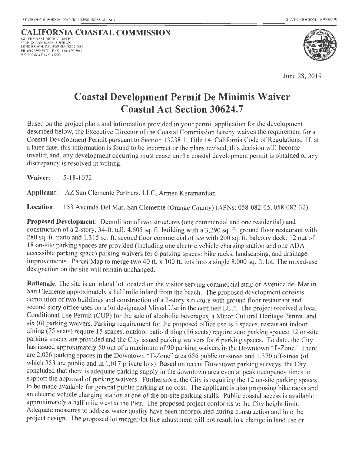# **CALIFORNIA COASTAL COMMISSION**

301 E OCFA'I BLVIJ, SUITE 300 LONG BEACH. CALIFORNIA 9080:-4830 PH (562) 590-5071 FAX (562) 590-5084 WIN'N COAST \L C \ GO'



June 28, 2019

## **Coastal Development Permit De Minimis Waiver Coastal Act Section 30624.7**

Based on the project plans and information provided in your permit application for the development described below, the Executive Director of the Coastal Commission hereby waives the requirement for a Coastal Development Permit pursuant to Section 13238.1, Title 14, California Code of Regulations. If, at a later date, this information is found to be incorrect or the plans revised, this decision will become invalid; and, any development occurring must cease until a coastal development permit is obtained or any discrepancy is resolved in writing.

**Waiver:** 5-18-1072

**Applicant:** AZ San Clemente Partners, LLC, Armen Karamardian

**Location:** 153 Avenida Del Mar, San Clemente (Orange County) (APNs: 058-082-05, 058-082-32)

**Proposed Development:** Demolition of two structures (one commercial and one residential) and construction of a 2-story, 34-ft. tall, 4,605 sq. ft. building with a 3,290 sq. ft. ground floor restaurant with 280 sq. ft. patio and 1,3 15 sq. ft. second floor commercial office with 200 sq. ft. balcony deck; 12 out of 18 on-site parking spaces are provided (including one electric vehicle charging station and one ADA accessible parking space) parking waivers for 6 parking spaces; bike racks, landscaping, and drainage improvements. Parcel Map to merge two 40 ft. x 100 ft. lots into a single 8,000 sq. ft. lot. The mixed-use designation on the site will remain unchanged.

**Rationale:** The site is an inland lot located on the visitor serving commercial strip of Avenida del Mar in San Clemente approximately a half mile inland from the beach. The proposed development consists demolition of two buildings and construction of a 2-story structure with ground floor restaurant and second story office uses on a lot designated Mixed Use in the certified LUP. The project received a local Conditional Use Permit (CUP) for the sale of alcoholic beverages, a Minor Cultural Heritage Permit, and six (6) parking waivers. Parking requirement for the proposed office use is 3 spaces, restaurant indoor dining (75 seats) require 15 spaces, outdoor patio dining ( 16 seats) require zero parking spaces; 12 on-site parking spaces are provided and the City issued parking waivers for 6 parking spaces. To date, the City has issued approximately 50 out of a maximum of 90 parking waivers in the Downtown "T-Zone." There are 2,026 parking spaces in the Downtown "T-Zone" area 656 public on-street and 1,370 off-street (of which 353 are public and in 1,017 private lots). Based on recent Downtown parking surveys, the City concluded that there is adequate parking supply in the downtown area even at peak occupancy times to support the approval of parking waivers. Furthermore, the City is requiring the 12 on-site parking spaces to be made available for general public parking at no cost. The applicant is also proposing bike racks and an electric vehicle charging station at one of the on-site parking stalls. Public coastal access is available approximately a half mile west at the Pier. The proposed project conforms to the City height limit. Adequate measures to address water quality have been incorporated during construction and into the project design. The proposed lot merger/lot line adjustment will not result in a change in land use or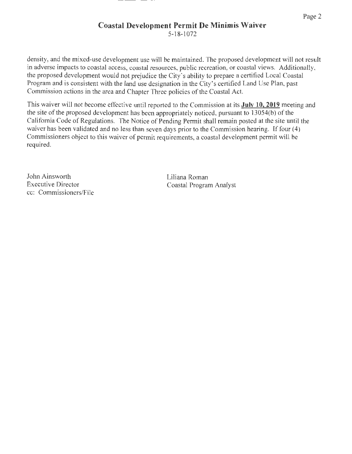## **Coastal Development Permit De Minimis Waiver**

5-18-1 072

density, and the mixed-use development use will be maintained. The proposed development will not result in adverse impacts to coastal access, coastal resources, public recreation, or coastal views. Additionally, the proposed development would not prejudice the City's ability to prepare a certified Local Coastal Program and is consistent with the land use designation in the City's certified Land Use Plan, past Commission actions in the area and Chapter Three policies of the Coastal Act.

This waiver will not become effective until reported to the Commission at its **Julv 10, 2019** meeting and the site of the proposed development has been appropriately noticed, pursuant to 13054(b) of the California Code of Regulations. The Notice of Pending Permit shall remain posted at the site until the waiver has been validated and no less than seven days prior to the Commission hearing. If four (4) Commissioners object to this waiver of permit requirements, a coastal development permit will be required.

John Ainsworth Executive Director cc: Commissioners/File Liliana Roman Coastal Program Analyst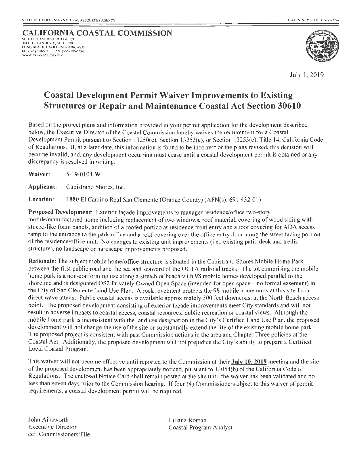#### CALIFORNIA COASTAL COMMISSION SOUTH COAST DISTRICT OfFICE 301 E OCEAN BLVD.. SUITE 300 LONG BEACH. CALIFORNIA 90802-4830 PH (562) 590-5071 FAX (562) 590-5084 ~WW CO ,\Sir\!. (" •\ GOV



July 1, 2019

## Coastal Development Permit Waiver Improvements to Existing Structures or Repair and Maintenance Coastal Act Section 30610

Based on the project plans and information provided in your permit application for the development described below, the Executive Director of the Coastal Commission hereby waives the requirement for a Coastal Development Permit pursuant to Section 13250(c), Section l3252(e), or Section 13253(c), Title 14, California Code of Regulations. If, at a later date, this infonnation is found to be incorrect or the plans revised, this decision will become invalid; and, any development occurring must cease until a coastal development permit is obtained or any discrepancy is resolved in writing.

|                  | <b>Waiver:</b> $5-19-0104-W$                                          |
|------------------|-----------------------------------------------------------------------|
|                  | <b>Applicant:</b> Capistrano Shores, Inc.                             |
| <b>Location:</b> | 1880 El Camino Real San Clemente (Orange County) (APN(s): 691-432-01) |
|                  |                                                                       |

Proposed Development: Exterior fayade improvements to manager residence/office two-story mobile/manufactured home including replacement of two windows, roof material, covering of wood siding with stucco-like foam panels, addition of a roofed portico at residence front entry and a roof covering for ADA access ramp to the entrance to the park office and a roof covering over the office entry door along the street facing portion of the residence/office unit. No changes to existing unit improvements (i.e., existing patio deck and trellis structure), no landscape or hardscape improvements proposed.

Rationale: The subject mobile home/office structure is situated in the Capistrano Shores Mobile Home Park between the first public road and the sea and seaward of the OCTA railroad tracks. The lot comprising the mobile home park is a non-conforming use along a stretch of beach with 98 mobile homes developed parallel to the shoreline and is designated OS2 Privately Owned Open Space (intended for open space – no formal easement) in the City of San Clemente Land Use Plan. A rock revetment protects the 98 mobile home units at this site from direct wave attack. Public coastal access is available approximately 300 feet downcoast at the North Beach access point. The proposed development consisting of exterior façade improvements meet City standards and will not result in adverse impacts to coastal access, coastal resources, public recreation or coastal views. Although the mobile home park is inconsistent with the land use designation in the City's Certified Land Use Plan, the proposed development will not change the use of the site or substantially extend the life of the existing mobile home park. The proposed project is consistent with past Commission actions in the area and Chapter Three policies of the Coastal Act. Additionally, the proposed development will not prejudice the City's ability to prepare a Certified Local Coastal Program.

This waiver will not become effective until reported to the Commission at their July 10, 2019 meeting and the site of the proposed development has been appropriately noticed, pursuant to 13054(b) of the California Code of Regulations. The enclosed Notice Card shall remain posted at the site until the waiver has been validated and no less than seven days prior to the Commission hearing. If four (4) Commissioners object to this waiver of permit requirements, a coastal development permit will be required.

John Ainsworth Executive Director cc: Commissioners/File Liliana Roman Coastal Program Analyst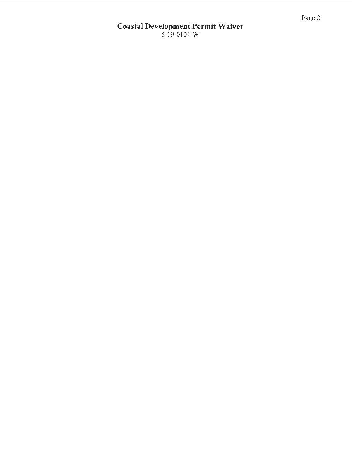### Coastal Development Permit Waiver  $5 - 19 - 0104 - W$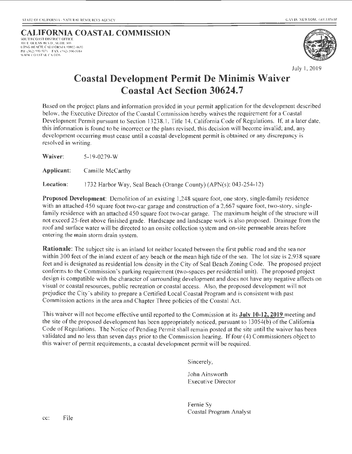#### **CALIFORNIA COASTAL COMMISSION** SOUTH COAST DISTRICT OFFICE 30 E THE ORSE DISTRICT OFFICE<br>301 E. OCEAN BLVD , SUITE 300 LONG BEACH, CALIFORNIA 90802-4830 PH (562) 590-5071 FAX (562) 590-5084 WWW COAST-LL CA GOV



July 1, 2019

## **Coastal Development Permit De Minimis Waiver Coastal Act Section 30624.7**

Based on the project plans and information provided in your permit application for the development described below, the Executive Director of the Coastal Commission hereby waives the requirement for a Coastal Development Permit pursuant to Section 13238.1. Title 14, California Code of Regulations. If, at a later date, this information is found to be incorrect or the plans revised, this decision will become invalid; and, any development occurring must cease until a coastal development permit is obtained or any discrepancy is resolved in writing.

**Waiver:** 5-19-0279-W

**Applicant:** Camille McCarthy

**Location:** 1732 Harbor Way, Seal Beach (Orange County) (APN(s): 043-254-12)

**Proposed Development:** Demolition of an existing 1,248 square foot, one story, single-family residence with an attached 450 square foot two-car garage and construction of a 2,667 square foot, two-story, singlefamily residence with an attached 450 square foot two-car garage. The maximum height of the structure will not exceed 25-feet above finished grade. Hardscape and landscape work is also proposed. Drainage from the roof and surface water will be directed to an onsite collection system and on-site permeable areas before entering the main storm drain system.

**Rationale:** The subject site is an inland lot neither located between the first public road and the sea nor within 300 feet of the inland extent of any beach or the mean high tide of the sea. The lot size is 2,938 square feet and is designated as residential low density in the City of Seal Beach Zoning Code. The proposed project conforms to the Commission's parking requirement (two-spaces per residential unit). The proposed project design is compatible with the character of surrounding development and does not have any negative affects on visual or coastal resources, public recreation or coastal access. Also, the proposed development will not prejudice the City's ability to prepare a Certified Local Coastal Program and is consistent with past Commission actions in the area and Chapter Three policies of the Coastal Act.

This waiver will not become effective until reported to the Commission at its **July 10-12,2019** meeting and the site of the proposed development has been appropriately noticed, pursuant to 13054(b) of the Califomia Code of Regulations. The Notice of Pending Permit shall remain posted at the site until the waiver has been validated and no less than seven days prior to the Commission hearing. If four (4) Commissioners object to this waiver of permit requirements, a coastal development permit will be required.

Sincerely,

John Ainsworth Executive Director

Fernie Sy Coastal Program Analyst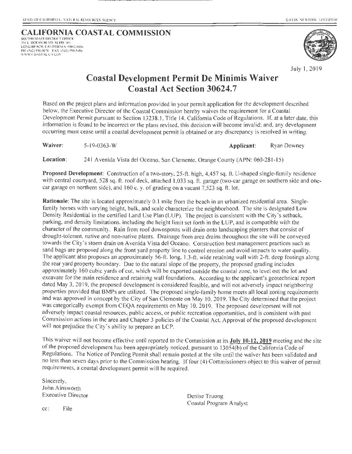301 E OCEAN BLVD. SUITE 300 LONG BEACH, CALIFORNIA 90802-4416 PH (562) 590-5071 FAX (562) 590-5084 WWW ( OASTAL CA GO\





July I, 2019

## Coastal Development Permit De Minimis Waiver Coastal Act Section 30624.7

Based on the project plans and information provided in your permit application for the development described below, the Executive Director of the Coastal Commission hereby waives the requirement for a Coastal Development Permit pursuant to Section 13238.1. Title 14, California Code of Regulations. If, at a later date, this information is found to be incorrect or the plans revised, this decision will become invalid; and. any development occurring must cease until a coastal development permit is obtained or any discrepancy is resolved in writing.

Waiver: 5-19-0363-W **Applicant:** Ryan Downey

Location: 241 Avenida Vista del Oceano. San Clemente, Orange County (APN: 060-281-15)

Proposed Development: Construction of a two-story, 25-ft. high, 4,457 sq. ft. U-shaped single-family residence with central courtyard, 528 sq. ft. roof deck, attached 1,033 sq. ft. garage (two-car garage on southern side and onecar garage on northern side), and 160 c. y. of grading on a vacant 7,523 sq. ft. lot.

Rationale: The site is located approximately 0.1 mile from the beach in an urbanized residential area. Singlefamily homes with varying height, bulk, and scale characterize the neighborhood. The site is designated Low Density Residential in the certified Land Use Plan (LUP). The project is consistent with the City's setback, parking, and density limitations. including the height limit set forth in the LUP, and is compatible with the character ofthe community. Rain from roof downspouts will drain onto landscaping planters that consist of drought-tolerant, native and non-native plants. Drainage from area drains throughout the site will be conveyed towards the City's storm drain on Avenida Vista del Oceano. Construction best management practices such as sand bags are proposed along the front yard property line to control erosion and avoid impacts to water quality. The applicant also proposes an approximately 56-ft. long, 1.3-ft. wide retaining wall with 2-ft. deep footings along the rear yard property boundary. Due to the natural slope of the property, the proposed grading includes approximately 160 cubic yards of cut, which will be exported outside the coastal zone, to level out the lot and excavate for the main residence and retaining wall foundations. According to the applicant's geotechnical report dated May 3, 2019, the proposed development is considered feasible, and will not adversely impact neighboring properties provided that BMPs are utilized. The proposed single-family home meets all local zoning requirements and was approved in concept by the City of San Clemente on May 10, 2019. The City determined that the project was categorically exempt from CEQA requirements on May 10. 2019. The proposed development will not adversely impact coastal resources, public access, or public recreation opportunities, and is consistent with past Commission actions in the area and Chapter 3 policies of the Coastal Act. Approval of the proposed development will not prejudice the City's ability to prepare an LCP.

This waiver will not become effective until reported to the Commission at its July 10-12, 2019 meeting and the site of the proposed development has been appropriately noticed. pursuant to 13054(b) of the California Code of Regulations. The Notice of Pending Permit shall remain posted at the site until the waiver has been validated and no less than seven days prior to the Commission hearing. If four (4) Commissioners object to this waiver of permit requirements, a coastal development permit will be required.

Sincerely, John Ainsworth Executive Director

Denise Truong Coastal Program Analyst

cc: File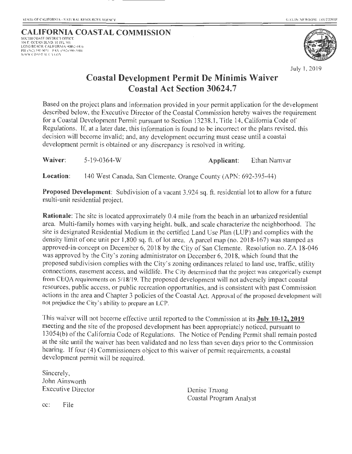#### **CALIFORNIA COASTAL COMMISSION** SOUTH COAST DISTRICT OFFICE 301 E. OCEAN BLVD. SI JTL 300 LOl\G BE<\C'B, C'ALifORi'IA 90802-4416

PH (562) 590-5071 FAX (562) 590-5084 WWW COASTAL CA GOV



July I, 2019

## **Coastal Development Permit De Minimis Waiver Coastal Act Section 30624.7**

Based on the project plans and information provided in your permit application for the development described below, the Executive Director of the Coastal Commission hereby waives the requirement for a Coastal Development Permit pursuant to Section 13238.1, Title 14, California Code of Regulations. If, at a later date, this information is found to be incorrect or the plans revised, this decision will become invalid; and, any development occurring must cease until a coastal development permit is obtained or any discrepancy is resolved in writing.

**Waiver:** 5-19-0364-W **Applicant:** Ethan Namvar

**Location:** 140 West Canada, San Clemente, Orange County (APN: 692-395-44)

**Proposed Development:** Subdivision of a vacant 3,924 sq. ft. residential lot to allow for a future multi-unit residential project.

**Rationale:** The site is located approximately 0.4 mile from the beach in an urbanized residential area. Multi-family homes with varying height, bulk, and scale characterize the neighborhood. The site is designated Residential Medium in the certified Land Use Plan (LUP) and complies with the density limit of one unit per 1,800 sq. ft. of lot area. A parcel map (no. 2018-167) was stamped as approved-in-concept on December 6, 2018 by the City of San Clemente. Resolution no. ZA 18-046 was approved by the City's zoning administrator on December 6, 2018, which found that the proposed subdivision complies with the City's zoning ordinances related to land use, traffic, utility connections, easement access, and wildlife. The City determined that the project was categorically exempt from CEQA requirements on 5/18/19. The proposed development will not adversely impact coastal resources, public access, or public recreation opportunities, and is consistent with past Commission actions in the area and Chapter 3 policies of the Coastal Act. Approval of the proposed development will not prejudice the City's ability to prepare an LCP.

This waiver will not become effective until reported to the Commission at its **Julv 10-12, 2019**  meeting and the site of the proposed development has been appropriately noticed, pursuant to 13054(b) of the California Code of Regulations. The Notice of Pending Permit shall remain posted at the site until the waiver has been validated and no less than seven days prior to the Commission hearing. If four (4) Commissioners object to this waiver of permit requirements, a coastal development permit will be required.

Sincerely, John Ainsworth Executive Director

Denise Truong Coastal Program Analyst

cc: File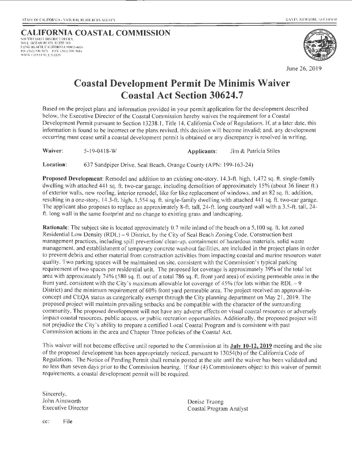## **CALIFORNIA COASTAL COMMISSION**

SOUTH COAST DISTRICT OFFICE: JOI E. OCEAN RLVD. SIJITE JOO I.ONG BEACH, CALIFORNIA 90802-4416 PH (562) 590-5071 FAX (562) 590-5084 WWW LOASTAL CA GOV



June 26, 2019

## **Coastal Development Permit De Minimis Waiver Coastal Act Section 30624.7**

Based on the project plans and information provided in your permit application for the development described below, the Executive Director of the Coastal Commission hereby waives the requirement for a Coastal Development Permit pursuant to Section 13238.1. Title 14\_ California Code of Regulations. If. at a later date. this information is found to be incorrect or the plans revised, this decision will become invalid; and, any development occurring must cease until a coastal development permit is obtained or any discrepancy is resolved in writing.

**Waiver:** 5-19-0418-W **Applicants:** Jim & Patricia Stiles

**Location:** 637 Sandpiper Drive, Seal Beach, Orange County (APN: 199- 163-24)

**Proposed Development:** Remodel and addition to an existing one-story, 14.3-ft, high, 1,472 sq. ft. single-family dwelling with attached 441 sq. ft. two-car garage, including demolition of approximately 15% (about 36 linear ft.) of exterior walls, new roofing, interior remodel, like for like replacement of windows, and an 82 sq. ft. addition, resulting in a one-story, 14.3-ft. high, I ,554 sq. ft. single-family dwelling with attached 44 I sq. ft. two-car garage. The applicant also proposes to replace an approximately 8-ft. tall, 24-ft. long courtyard wall with a 3.5-ft. tall, 24 ft. long wall in the same footprint and no change to existing grass and landscaping.

**Rationale:** The subject site is located approximately 0.7 mile inland of the beach on a 5,100 sq. ft. lot zoned Residential Low Density (RDL) - 9 District, by the City of Seal Beach Zoning Code. Construction best management practices, including spill prevention/ clean-up, containment of hazardous materials. solid waste management, and establishment of temporary concrete washout facilities, are included in the project plans in order to prevent debris and other material from construction activities from impacting coastal and marine resources water quality. Two parking spaces will be maintained on site, consistent with the Commission's typical parking requirement of two spaces per residential unit. The proposed lot coverage is approximately 39% of the total lot area with approximately 74% (580 sq. ft. out of a total 786 sq. ft. front yard area) of existing permeable area in the front yard, consistent with the City's maximum allowable lot coverage of 45% (for lots within the RDL - 9 District) and the minimum requirement of 60% front yard permeable area. The project received an approval-inconcept and CEQA status as categorically exempt through the City planning department on May 21, 2019. The proposed project will maintain prevailing setbacks and be compatible with the character of the surrounding community. The proposed development will not have any adverse effects on visual coastal resources or adversely impact coastal resources, public access. or public recreation opportunities. Additionally, the proposed project will not prejudice the City's ability to prepare a certified Local Coastal Program and is consistent with past Commission actions in the area and Chapter Three policies of the Coastal Act

This waiver will not become effective until reported to the Commission at its **July 10-12, 2019** meeting and the site of the proposed development has been appropriately noticed, pursuant to 13054(b) of the California Code of Regulations. The Notice of Pending Permit shall remain posted at the site until the waiver has been validated and no less than seven days prior to the Commission hearing. If four (4) Commissioners object to this waiver of permit requirements, a coastal development permit will be required.

Sincerely, John Ainsworth Executive Director

Denise Truong Coastal Program Analyst

cc: File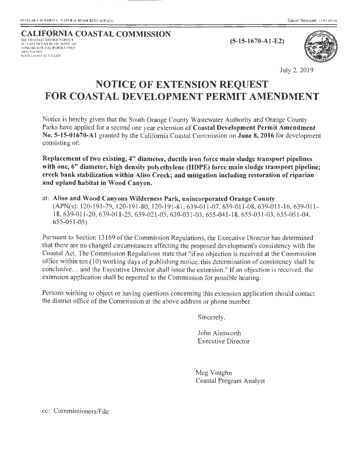#### **CALIFORNIA COASTAL COMMISSION** SOLTH COAST DISTRICT OFFICE

301 EAST OCEAN BLVD.,SUITE 300<br>LONG BEACH. CALIFORNIA 90802 1~621 ~<)()..<07 <sup>1</sup> \\II \1 ('0-\Sl "I. (' A GOV

**(5-15-1670-A 1-E2)** 



July 2, 2019

## **NOTICE OF EXTENSION REQUEST FOR COASTAL DEVELOPMENT PERMIT AMENDMENT**

Notice is hereby given that the South Orange County Wastewater Authority and Orange County Parks have applied for a second one year extension of **Coastal Development Permit Amendment No. 5-15-01670-A1** granted by the California Coastal Commission on **June 8, 2016** for development consisting of:

**Replacement of two existing, 4" diameter, ductile iron force main sludge transport pipelines with one, 6" diameter, high density polyethylene (HOPE) force main sludge transport pipeline; creek bank stabilization within Aliso Creek; and mitigation including restoration of riparian and upland habitat in Wood Canyon.** 

at: **Aliso and Wood Canyons Wilderness Park, unincorporated Orange County**  (APN(s): 120-191-79, 120-191-80, 120-191-81, 639-011-07, 639-011-08, 639-011-16, 639-011-18, 639-011-20, 639-011-25, 639-021-05, 639-031-03, 655-041-18, 655-051 -03, 655-051-04, 655-05 1-05)

Pursuant to Section 13 169 of the Commission Regulations, the Executive Director has determined that there are no changed circumstances affecting the proposed development's consistency with the Coastal Act. The Commission Regulations state that "if no objection is received at the Commission office within ten (10) working days of publishing notice, this determination of consistency shall be conclusive ... and the Executive Director shall issue the extension." If an objection is received, the extension application shall be reported to the Commission for possible hearing.

Persons wishing to object or having questions concerning this extension application should contact the district office of the Commission at the above address or phone number.

Sincerely,

John Ainsworth Executive Director

Meg Vaughn Coastal Program Analyst

cc: Commissioners/File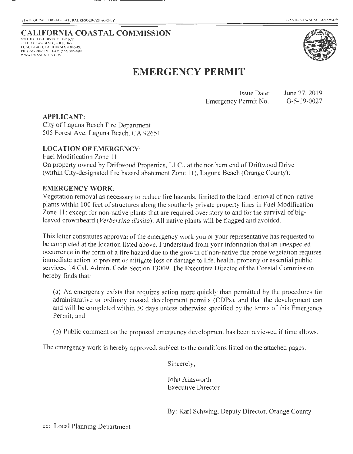### **CALIFORNIA COASTAL COMMISSION**

SOUTH COAST DISTRICT OF ICE 301 E -OCEAN BLVD , SUITL 300<br>LONG BEACH, CALIFORNIA 90802-4830 PH (562) 590-5071 FAX (562\ 590-5084 \1 WI\' COA5TAL *C* A GO\



## **EMERGENCY PERMIT**

Issue Date: Emergency Permit No.: June 27, 2019 G-5-19-0027

**APPLICANT:** 

City of Laguna Beach Fire Department 505 Forest Ave, Laguna Beach, CA 92651

### **LOCATION OF EMERGENCY:**

Fuel Modification Zone 11 On property owned by Driftwood Properties, LLC., at the northern end of Driftwood Drive (within City-designated fire hazard abatement Zone 11), Laguna Beach (Orange County);

### **EMERGENCY WORK:**

Vegetation removal as necessary to reduce fire hazards, limited to the hand removal of non-native plants within 100 feet of structures along the southerly private property lines in Fuel Modification Zone 11; except for non-native plants that are required over story to and for the survival of bigleaved crownbeard *(Verbersina dissita).* All native plants will be flagged and avoided.

This letter constitutes approval of the emergency work you or your representative has requested to be completed at the location listed above. I understand from your information that an unexpected occurrence in the form of a tire hazard due to the growth of non-native fire prone vegetation requires immediate action to prevent or mitigate loss or damage to life, health, property or essential public services. 14 Cal. Admin. Code Section 13009. The Executive Director of the Coastal Commission hereby finds that:

(a) An emergency exists that requires action more quickly than permitted by the procedures for administrative or ordinary coastal development permits (COPs), and that the development can and will be completed within 30 days unless otherwise specified by the terms of this Emergency Permit; and

(b) Public comment on the proposed emergency development has been reviewed if time allows.

The emergency work is hereby approved, subject to the conditions listed on the attached pages.

Sincerely,

John Ainsworth Executive Director

By: Karl Schwing, Deputy Director, Orange County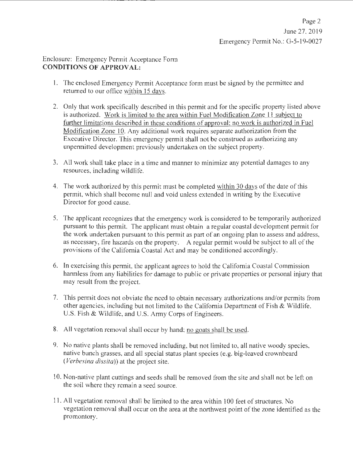### Enclosure: Emergency Permit Acceptance Form **CONDITIONS OF APPROVAL:**

- 1. The enclosed Emergency Permit Acceptance form must be signed by the permittee and returned to our office within 15 days.
- 2. Only that work specifically described in this permit and for the specific property listed above is authorized. Work is limited to the area within Fuel Modification Zone 11 subject to further limitations described in these conditions of approval; no work is authorized in Fuel Modification Zone 10. Any additional work requires separate authorization from the Executive Director. This emergency permit shall not be construed as authorizing any unpermitted development previously undertaken on the subject property.
- 3. All work shall take place in a time and manner to minimize any potential damages to any resources, including wildlife.
- 4. The work authorized by this permit must be completed within 30 days of the date of this permit, which shall become null and void unless extended in writing by the Executive Director for good cause.
- 5. The applicant recognizes that the emergency work is considered to be temporarily authorized pursuant to this permit. The applicant must obtain a regular coastal development permit for the work undertaken pursuant to this permit as part of an ongoing plan to assess and address, as necessary, fire hazards on the property. A regular permit would be subject to all of the provisions of the California Coastal Act and may be conditioned accordingly.
- 6. In exercising this permit, the applicant agrees to hold the California Coastal Commission harmless from any liabilities for damage to public or private properties or personal injury that may result from the project.
- 7. This permit does not obviate the need to obtain necessary authorizations and/or permits from other agencies, including but not limited to the California Department of Fish  $\&$  Wildlife, U.S. Fish & Wildlife, and U.S. Army Corps of Engineers.
- 8. All vegetation removal shall occur by hand; no goats shall be used.
- 9. No native plants shall be removed including, but not limited to, all native woody species, native bunch grasses, and all special status plant species (e.g. big-leaved crownbeard *(Verbesina dissita))* at the project site.
- 10. Non-native plant cuttings and seeds shall be removed from the site and shall not be left on the soil where they remain a seed source.
- 11. All vegetation removal shall be limited to the area within 100 feet of structures. No vegetation removal shall occur on the area at the northwest point of the zone identified as the promontory.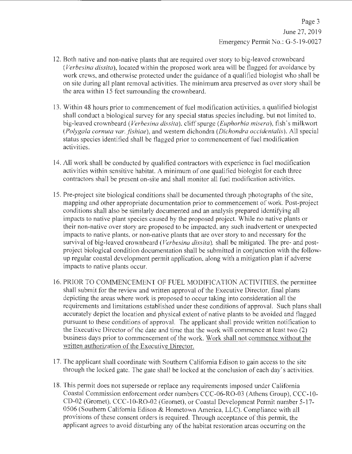- 12. Both native and non-native plants that are required over story to big-leaved crownbeard *(Verbesina dissita),* located within the proposed work area will be flagged for avoidance by work crews, and otherwise protected under the guidance of a qualified biologist who shall be on site during all plant removal activities. The minimum area preserved as over story shall be the area within 15 feet surrounding the crownbeard.
- 13. Within 48 hours prior to commencement of fuel modification activities, a qualified biologist shall conduct a biological survey for any special status species including, but not limited to, big-leaved crownbeard *(Verbesina dissita),* cliff spurge *(Euphorbia misera),* fish's milkwort *(Polygala cornuta var. jishiae),* and western dichondra *(Dichondra occidentalis).* All special status species identified shall be flagged prior to commencement of fuel modification activities.
- 14. All work shall be conducted by qualified contractors with experience in fuel modification activities within sensitive habitat. A minimum of one qualified biologist for each three contractors shall be present on-site and shall monitor all fuel modification activities.
- 15. Pre-project site biological conditions shall be documented through photographs of the site, mapping and other appropriate documentation prior to commencement of work. Post-project conditions shall also be similarly documented and an analysis prepared identifying all impacts to native plant species caused by the proposed project. While no native plants or their non-native over story are proposed to be impacted, any such inadvertent or unexpected impacts to native plants, or non-native plants that are over story to and necessary for the survival of big-leaved crownbeard (*Verbesina dissita*), shall be mitigated. The pre- and postproject biological condition documentation shall be submitted in conjunction with the followup regular coastal development permit application, along with a mitigation plan if adverse impacts to native plants occur.
- 16. PRIOR TO COMMENCEMENT OF FUEL MODIFICATION ACTIVITlES, the permittee shall submit for the review and written approval of the Executive Director, final plans depicting the areas where work is proposed to occur taking into consideration all the requirements and limitations established under these conditions of approval. Such plans shall accurately depict the location and physical extent of native plants to be avoided and flagged pursuant to these conditions of approval. The applicant shall provide written notification to the Executive Director of the date and time that the work will commence at least two (2) business days prior to commencement of the work. Work shall not commence without the written authorization of the Executive Director.
- 17. The applicant shall coordinate with Southern California Edison to gain access to the site through the locked gate. The gate shall be locked at the conclusion of each day's activities.
- 18. This permit does not supersede or replace any requirements imposed under California Coastal Commission enforcement order numbers CCC-06-R0-03 (Athens Group), CCC-I 0- CD-02 (Gromet), CCC-I 0-R0-02 (Gromet), or Coastal Development Permit number 5-17- 0506 (Southern California Edison & Hometown America, LLC). Compliance with all provisions of these consent orders is required. Through acceptance of this permit, the applicant agrees to avoid disturbing any of the habitat restoration areas occurring on the